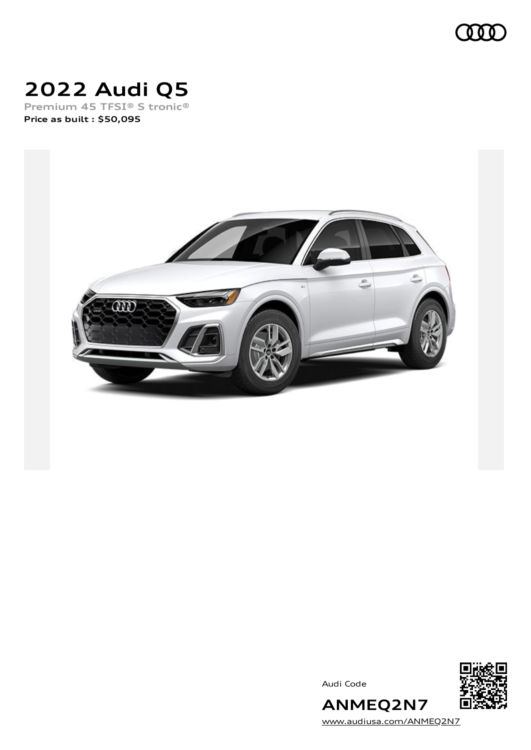

# **2022 Audi Q5**

**Premium 45 TFSI® S tronic® Price as built [:](#page-10-0) \$50,095**







[www.audiusa.com/ANMEQ2N7](https://www.audiusa.com/ANMEQ2N7)

**ANMEQ2N7**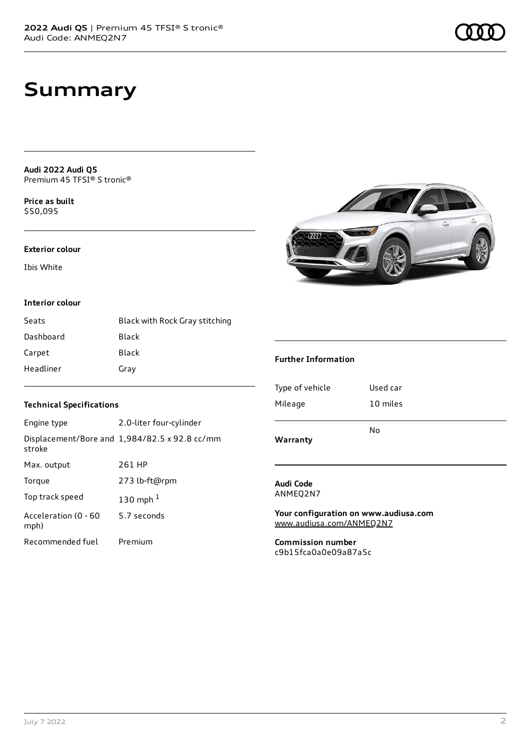# **Summary**

**Audi 2022 Audi Q5** Premium 45 TFSI® S tronic®

**Price as buil[t](#page-10-0)** \$50,095

#### **Exterior colour**

Ibis White

### **Interior colour**

| Seats     | Black with Rock Gray stitching |
|-----------|--------------------------------|
| Dashboard | Black                          |
| Carpet    | Black                          |
| Headliner | Gray                           |

### **Technical Specifications**

| Engine type                  | 2.0-liter four-cylinder                       |
|------------------------------|-----------------------------------------------|
| stroke                       | Displacement/Bore and 1,984/82.5 x 92.8 cc/mm |
| Max. output                  | 261 HP                                        |
| Torque                       | 273 lb-ft@rpm                                 |
| Top track speed              | 130 mph $1$                                   |
| Acceleration (0 - 60<br>mph) | 5.7 seconds                                   |
| Recommended fuel             | Premium                                       |

|  | ۵<br>ŝ |
|--|--------|
|  |        |

### **Further Information**

| N٥       |
|----------|
| 10 miles |
| Used car |
|          |

**Audi Code** ANMEQ2N7

**Your configuration on www.audiusa.com** [www.audiusa.com/ANMEQ2N7](https://www.audiusa.com/ANMEQ2N7)

**Commission number** c9b15fca0a0e09a87a5c

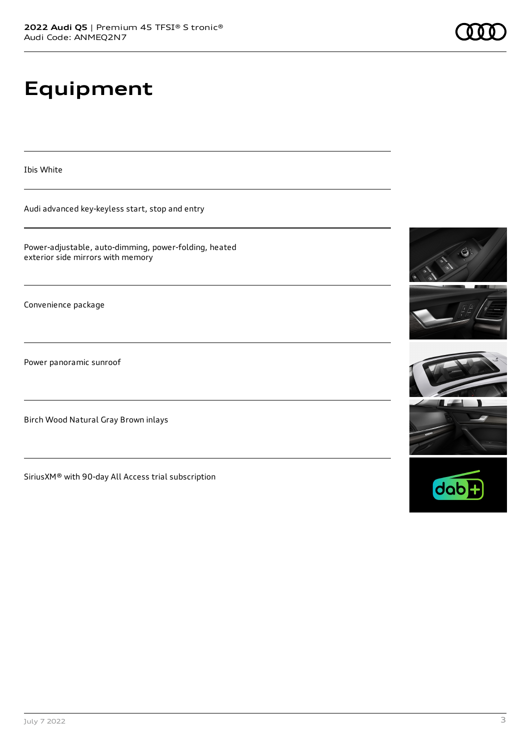# **Equipment**

Ibis White

Audi advanced key-keyless start, stop and entry

Power-adjustable, auto-dimming, power-folding, heated exterior side mirrors with memory

Convenience package

Power panoramic sunroof

Birch Wood Natural Gray Brown inlays

SiriusXM® with 90-day All Access trial subscription





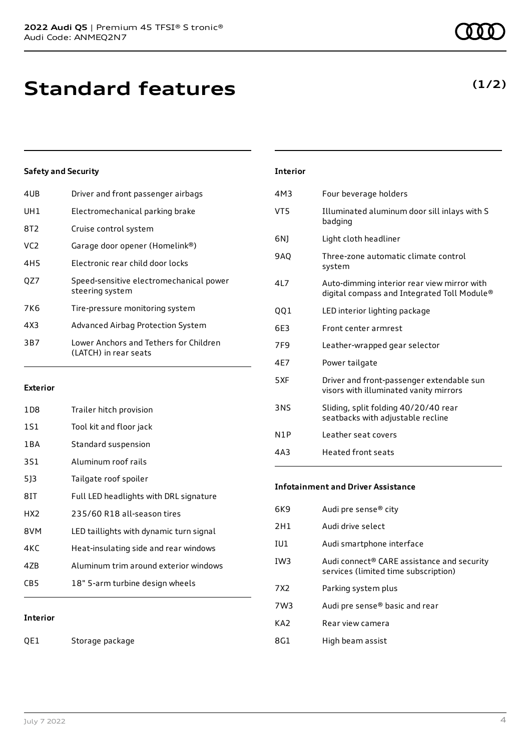**(1/2)**

# **Standard features**

### **Safety and Security**

| 4UB             | Driver and front passenger airbags                              |
|-----------------|-----------------------------------------------------------------|
| UH1             | Electromechanical parking brake                                 |
| 8T2             | Cruise control system                                           |
| VC <sub>2</sub> | Garage door opener (Homelink®)                                  |
| 4H5             | Electronic rear child door locks                                |
| OZ7             | Speed-sensitive electromechanical power<br>steering system      |
| 7K6             | Tire-pressure monitoring system                                 |
| 4X3             | Advanced Airbag Protection System                               |
| 3B7             | Lower Anchors and Tethers for Children<br>(LATCH) in rear seats |
|                 |                                                                 |

### **Exterior**

| 1D8   | Trailer hitch provision                 |
|-------|-----------------------------------------|
| 1S1   | Tool kit and floor jack                 |
| 1 B A | Standard suspension                     |
| 3S1   | Aluminum roof rails                     |
| 513   | Tailgate roof spoiler                   |
| 81T   | Full LED headlights with DRL signature  |
| HX2   | 235/60 R18 all-season tires             |
| 8VM   | LED taillights with dynamic turn signal |
| 4KC   | Heat-insulating side and rear windows   |
| 47B   | Aluminum trim around exterior windows   |
| CB5   | 18" 5-arm turbine design wheels         |
|       |                                         |

### **Interior**

QE1 Storage package

| <b>Interior</b> |                                                                                            |
|-----------------|--------------------------------------------------------------------------------------------|
| 4M3             | Four beverage holders                                                                      |
| VT5             | Illuminated aluminum door sill inlays with S<br>badging                                    |
| 6N)             | Light cloth headliner                                                                      |
| <b>9AO</b>      | Three-zone automatic climate control<br>system                                             |
| 417             | Auto-dimming interior rear view mirror with<br>digital compass and Integrated Toll Module® |
| 001             | LED interior lighting package                                                              |
| 6F3             | Front center armrest                                                                       |
| 7F9             | Leather-wrapped gear selector                                                              |
| 4F7             | Power tailgate                                                                             |
| 5XF             | Driver and front-passenger extendable sun<br>visors with illuminated vanity mirrors        |
| <b>3NS</b>      | Sliding, split folding 40/20/40 rear<br>seatbacks with adjustable recline                  |
| N1P             | Leather seat covers                                                                        |
| 4A3             | <b>Heated front seats</b>                                                                  |

#### **Infotainment and Driver Assistance**

| 6K9             | Audi pre sense <sup>®</sup> city                                                   |
|-----------------|------------------------------------------------------------------------------------|
| 2H1             | Audi drive select                                                                  |
| IU1             | Audi smartphone interface                                                          |
| IW <sub>3</sub> | Audi connect® CARE assistance and security<br>services (limited time subscription) |
| 7X2             | Parking system plus                                                                |
| 7W3             | Audi pre sense® basic and rear                                                     |
| KA2             | Rear view camera                                                                   |
| 8G1             | High beam assist                                                                   |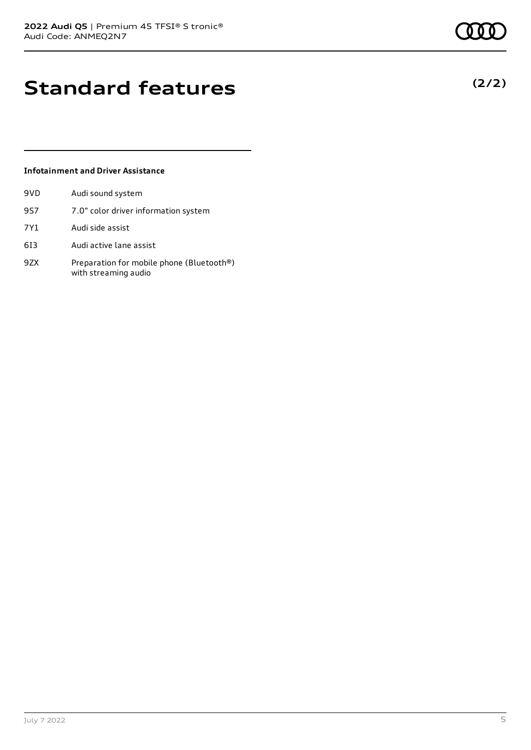# **Standard features**

### **Infotainment and Driver Assistance**

| 9VD | Audi sound system                                                 |
|-----|-------------------------------------------------------------------|
| 957 | 7.0" color driver information system                              |
| 7Y1 | Audi side assist                                                  |
| 613 | Audi active lane assist                                           |
| 97X | Preparation for mobile phone (Bluetooth®)<br>with streaming audio |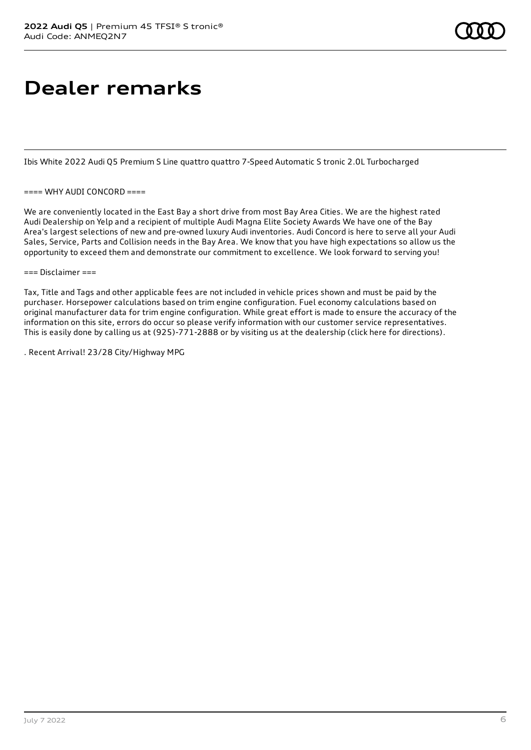# **Dealer remarks**

Ibis White 2022 Audi Q5 Premium S Line quattro quattro 7-Speed Automatic S tronic 2.0L Turbocharged

#### $===$  WHY AUDI CONCORD $==$

We are conveniently located in the East Bay a short drive from most Bay Area Cities. We are the highest rated Audi Dealership on Yelp and a recipient of multiple Audi Magna Elite Society Awards We have one of the Bay Area's largest selections of new and pre-owned luxury Audi inventories. Audi Concord is here to serve all your Audi Sales, Service, Parts and Collision needs in the Bay Area. We know that you have high expectations so allow us the opportunity to exceed them and demonstrate our commitment to excellence. We look forward to serving you!

#### $==$  Disclaimer  $==$

Tax, Title and Tags and other applicable fees are not included in vehicle prices shown and must be paid by the purchaser. Horsepower calculations based on trim engine configuration. Fuel economy calculations based on original manufacturer data for trim engine configuration. While great effort is made to ensure the accuracy of the information on this site, errors do occur so please verify information with our customer service representatives. This is easily done by calling us at (925)-771-2888 or by visiting us at the dealership (click here for directions).

. Recent Arrival! 23/28 City/Highway MPG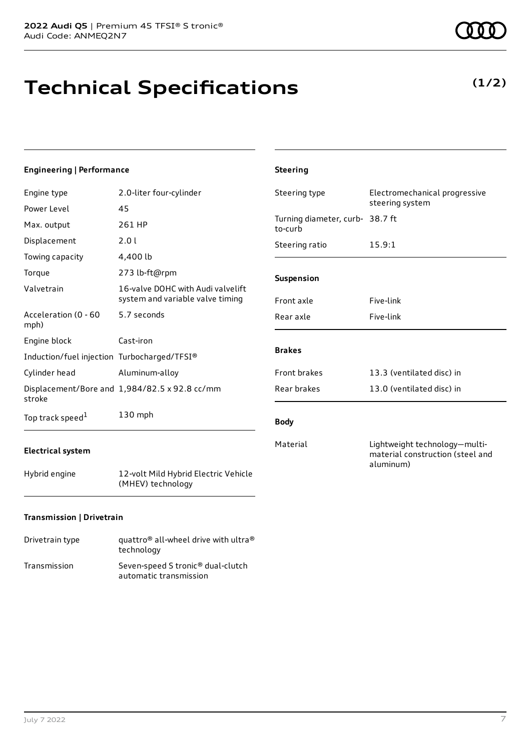July 7 2022 7

### **Engineering | Performance**

| Engine type                                 | 2.0-liter four-cylinder                                               | Steering type                              | Electromechanical progressive  |
|---------------------------------------------|-----------------------------------------------------------------------|--------------------------------------------|--------------------------------|
| Power Level                                 | 45                                                                    |                                            | steering system                |
| Max. output                                 | 261 HP                                                                | Turning diameter, curb- 38.7 ft<br>to-curb |                                |
| Displacement                                | 2.0 l                                                                 | Steering ratio                             | 15.9:1                         |
| Towing capacity                             | 4,400 lb                                                              |                                            |                                |
| Torque                                      | 273 lb-ft@rpm                                                         | Suspension                                 |                                |
| Valvetrain                                  | 16-valve DOHC with Audi valvelift<br>system and variable valve timing | Front axle                                 | Five-link                      |
| Acceleration (0 - 60<br>mph)                | 5.7 seconds                                                           | Rear axle                                  | Five-link                      |
| Engine block                                | Cast-iron                                                             |                                            |                                |
| Induction/fuel injection Turbocharged/TFSI® |                                                                       | <b>Brakes</b>                              |                                |
| Cylinder head                               | Aluminum-alloy                                                        | Front brakes                               | 13.3 (ventilated disc) in      |
| stroke                                      | Displacement/Bore and 1,984/82.5 x 92.8 cc/mm                         | Rear brakes                                | 13.0 (ventilated disc) in      |
| Top track speed <sup>1</sup>                | 130 mph                                                               | <b>Body</b>                                |                                |
|                                             |                                                                       | Material                                   | l iahtweiaht technology—multi- |

### **Electrical system**

Hybrid engine 12-volt Mild Hybrid Electric Vehicle (MHEV) technology

### **Transmission | Drivetrain**

| Drivetrain type | quattro <sup>®</sup> all-wheel drive with ultra <sup>®</sup><br>technology |
|-----------------|----------------------------------------------------------------------------|
| Transmission    | Seven-speed S tronic <sup>®</sup> dual-clutch<br>automatic transmission    |

| 15.9:1                                                                         |
|--------------------------------------------------------------------------------|
|                                                                                |
| Five-link                                                                      |
| Five-link                                                                      |
|                                                                                |
| 13.3 (ventilated disc) in                                                      |
| 13.0 (ventilated disc) in                                                      |
|                                                                                |
| Lightweight technology-multi-<br>material construction (steel and<br>aluminum) |
|                                                                                |

**Steering**

# **Technical Specifications**

**(1/2)**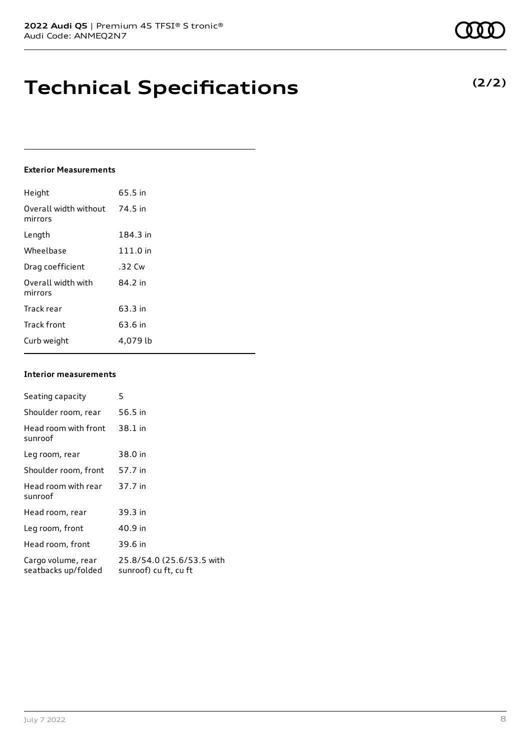## **Technical Specifications**

#### **Exterior Measurements**

| Height                           | 65.5 in  |
|----------------------------------|----------|
| Overall width without<br>mirrors | 74.5 in  |
| Length                           | 184.3 in |
| Wheelbase                        | 111.0 in |
| Drag coefficient                 | .32 Cw   |
| Overall width with<br>mirrors    | 84.2 in  |
| Track rear                       | 63.3 in  |
| <b>Track front</b>               | 63.6 in  |
| Curb weight                      | 4,079 lb |

#### **Interior measurements**

| Seating capacity                          | 5                                                  |
|-------------------------------------------|----------------------------------------------------|
| Shoulder room, rear                       | 56.5 in                                            |
| Head room with front<br>sunroof           | 38.1 in                                            |
| Leg room, rear                            | 38.0 in                                            |
| Shoulder room, front                      | 57.7 in                                            |
| Head room with rear<br>sunroof            | 37.7 in                                            |
| Head room, rear                           | 39.3 in                                            |
| Leg room, front                           | 40.9 in                                            |
| Head room, front                          | 39.6 in                                            |
| Cargo volume, rear<br>seatbacks up/folded | 25.8/54.0 (25.6/53.5 with<br>sunroof) cu ft, cu ft |

### **(2/2)**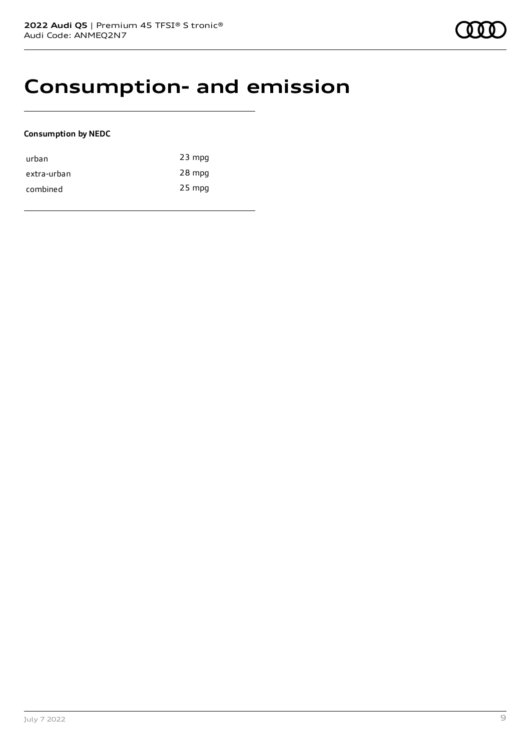## **Consumption- and emission**

### **Consumption by NEDC**

| urban       | $23$ mpg |
|-------------|----------|
| extra-urban | 28 mpg   |
| combined    | 25 mpg   |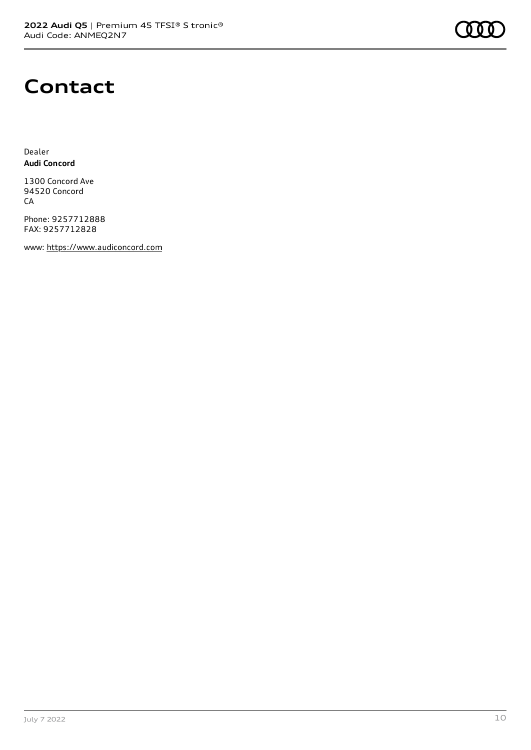

# **Contact**

Dealer **Audi Concord**

1300 Concord Ave 94520 Concord CA

Phone: 9257712888 FAX: 9257712828

www: [https://www.audiconcord.com](https://www.audiconcord.com/)